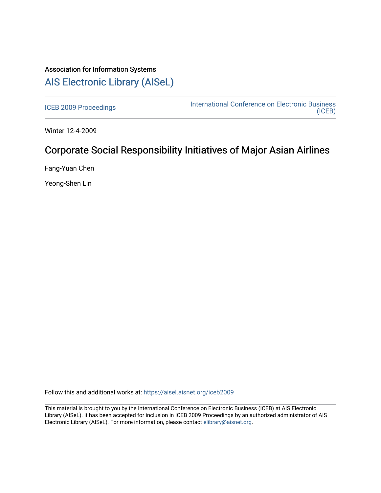# Association for Information Systems [AIS Electronic Library \(AISeL\)](https://aisel.aisnet.org/)

[ICEB 2009 Proceedings](https://aisel.aisnet.org/iceb2009) **International Conference on Electronic Business** [\(ICEB\)](https://aisel.aisnet.org/iceb) 

Winter 12-4-2009

# Corporate Social Responsibility Initiatives of Major Asian Airlines

Fang-Yuan Chen

Yeong-Shen Lin

Follow this and additional works at: [https://aisel.aisnet.org/iceb2009](https://aisel.aisnet.org/iceb2009?utm_source=aisel.aisnet.org%2Ficeb2009%2F80&utm_medium=PDF&utm_campaign=PDFCoverPages)

This material is brought to you by the International Conference on Electronic Business (ICEB) at AIS Electronic Library (AISeL). It has been accepted for inclusion in ICEB 2009 Proceedings by an authorized administrator of AIS Electronic Library (AISeL). For more information, please contact [elibrary@aisnet.org.](mailto:elibrary@aisnet.org%3E)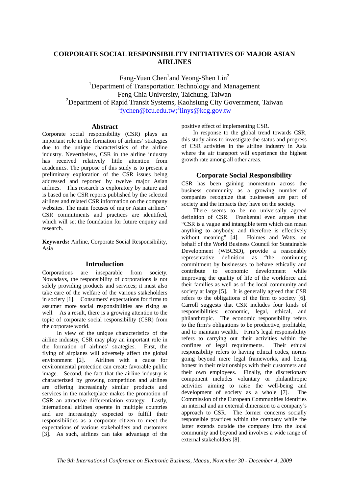# **CORPORATE SOCIAL RESPONSIBILITY INITIATIVES OF MAJOR ASIAN AIRLINES**

Fang-Yuan Chen<sup>1</sup>and Yeong-Shen  $Lin<sup>2</sup>$ <sup>1</sup>Department of Transportation Technology and Management Feng Chia University, Taichung, Taiwan <sup>2</sup>Department of Rapid Transit Systems, Kaohsiung City Government, Taiwan <sup>f</sup>fychen@fcu.edu.tw;<sup>2</sup>linys@kcg.gov.tw

### **Abstract**

Corporate social responsibility (CSR) plays an important role in the formation of airlines' strategies due to the unique characteristics of the airline industry. Nevertheless, CSR in the airline industry has received relatively little attention from academics. The purpose of this study is to present a preliminary exploration of the CSR issues being addressed and reported by twelve major Asian airlines. This research is exploratory by nature and is based on he CSR reports published by the selected airlines and related CSR information on the company websites. The main focuses of major Asian airlines' CSR commitments and practices are identified, which will set the foundation for future enquiry and research.

**Keywords:** Airline, Corporate Social Responsibility, Asia

#### **Introduction**

Corporations are inseparable from society. Nowadays, the responsibility of corporations is not solely providing products and services; it must also take care of the welfare of the various stakeholders in society [1]. Consumers' expectations for firms to assumer more social responsibilities are rising as well. As a result, there is a growing attention to the topic of corporate social responsibility (CSR) from the corporate world.

In view of the unique characteristics of the airline industry, CSR may play an important role in the formation of airlines' strategies. First, the flying of airplanes will adversely affect the global environment [2]. Airlines with a cause for environmental protection can create favorable public image. Second, the fact that the airline industry is characterized by growing competition and airlines are offering increasingly similar products and services in the marketplace makes the promotion of CSR an attractive differentiation strategy. Lastly, international airlines operate in multiple countries and are increasingly expected to fulfill their responsibilities as a corporate citizen to meet the expectations of various stakeholders and customers [3]. As such, airlines can take advantage of the

positive effect of implementing CSR.

In response to the global trend towards CSR, this study aims to investigate the status and progress of CSR activities in the airline industry in Asia where the air transport will experience the highest growth rate among all other areas.

### **Corporate Social Responsibility**

CSR has been gaining momentum across the business community as a growing number of companies recognize that businesses are part of society and the impacts they have on the society.

There seems to be no universally agreed definition of CSR. Frankental even argues that "CSR is a vague and intangible term which can mean anything to anybody, and therefore is effectively without meaning" [4]. Holmes and Watts, on behalf of the World Business Council for Sustainable Development (WBCSD), provide a reasonably representative definition as "the continuing commitment by businesses to behave ethically and contribute to economic development while improving the quality of life of the workforce and their families as well as of the local community and society at large [5]. It is generally agreed that CSR refers to the obligations of the firm to society [6]. Carroll suggests that CSR includes four kinds of responsibilities: economic, legal, ethical, and philanthropic. The economic responsibility refers to the firm's obligations to be productive, profitable, and to maintain wealth. Firm's legal responsibility refers to carrying out their activities within the confines of legal requirements. Their ethical responsibility refers to having ethical codes, norms going beyond mere legal frameworks, and being honest in their relationships with their customers and their own employees. Finally, the discretionary component includes voluntary or philanthropic activities aiming to raise the well-being and development of society as a whole [7]. The Commission of the European Communities identifies an internal and an external dimension to a company's approach to CSR. The former concerns socially responsible practices within the company while the latter extends outside the company into the local community and beyond and involves a wide range of external stakeholders [8].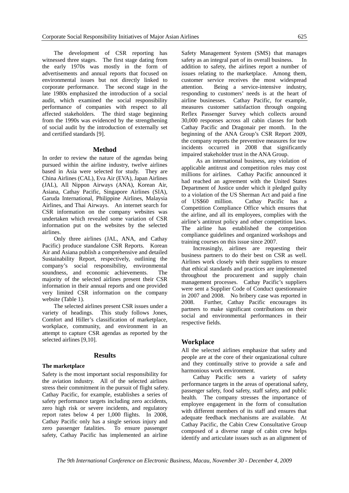The development of CSR reporting has witnessed three stages. The first stage dating from the early 1970s was mostly in the form of advertisements and annual reports that focused on environmental issues but not directly linked to corporate performance. The second stage in the late 1980s emphasized the introduction of a social audit, which examined the social responsibility performance of companies with respect to all affected stakeholders. The third stage beginning from the 1990s was evidenced by the strengthening of social audit by the introduction of externally set and certified standards [9].

#### **Method**

In order to review the nature of the agendas being pursued within the airline industry, twelve airlines based in Asia were selected for study. They are China Airlines (CAL), Eva Air (EVA), Japan Airlines (JAL), All Nippon Airways (ANA), Korean Air, Asiana, Cathay Pacific, Singapore Airlines (SIA), Garuda International, Philippine Airlines, Malaysia Airlines, and Thai Airways. An internet search for CSR information on the company websites was undertaken which revealed some variation of CSR information put on the websites by the selected airlines.

Only three airlines (JAL, ANA, and Cathay Pacific) produce standalone CSR Reports. Korean Air and Asiana publish a comprehensive and detailed Sustainability Report, respectively, outlining the company's social responsibility, environmental soundness, and economic achievements. The majority of the selected airlines present their CSR information in their annual reports and one provided very limited CSR information on the company website (Table 1).

The selected airlines present CSR issues under a variety of headings. This study follows Jones, Comfort and Hiller's classification of marketplace, workplace, community, and environment in an attempt to capture CSR agendas as reported by the selected airlines [9,10].

#### **Results**

#### **The marketplace**

Safety is the most important social responsibility for the aviation industry. All of the selected airlines stress their commitment in the pursuit of flight safety. Cathay Pacific, for example, establishes a series of safety performance targets including zero accidents, zero high risk or severe incidents, and regulatory report rates below 4 per 1,000 flights. In 2008, Cathay Pacific only has a single serious injury and zero passenger fatalities. To ensure passenger safety, Cathay Pacific has implemented an airline

Safety Management System (SMS) that manages safety as an integral part of its overall business. In addition to safety, the airlines report a number of issues relating to the marketplace. Among them, customer service receives the most widespread attention. Being a service-intensive industry, responding to customers' needs is at the heart of airline businesses. Cathay Pacific, for example, measures customer satisfaction through ongoing Reflex Passenger Survey which collects around 30,000 responses across all cabin classes for both Cathay Pacific and Dragonair per month. In the beginning of the ANA Group's CSR Report 2009, the company reports the preventive measures for tow incidents occurred in 2008 that significantly impaired stakeholder trust in the ANA Group.

As an international business, any violation of applicable antitrust and competition rules may cost millions for airlines. Cathay Pacific announced it had reached an agreement with the United States Department of Justice under which it pledged guilty to a violation of the US Sherman Act and paid a fine of US\$60 million. Cathay Pacific has a Competition Compliance Office which ensures that the airline, and all its employees, complies with the airline's antitrust policy and other competition laws. The airline has established the competition compliance guidelines and organized workshops and training courses on this issue since 2007.

Increasingly, airlines are requesting their business partners to do their best on CSR as well. Airlines work closely with their suppliers to ensure that ethical standards and practices are implemented throughout the procurement and supply chain management processes. Cathay Pacific's suppliers were sent a Supplier Code of Conduct questionnaire in 2007 and 2008. No bribery case was reported in 2008. Further, Cathay Pacific encourages its partners to make significant contributions on their social and environmental performances in their respective fields.

### **Workplace**

All the selected airlines emphasize that safety and people are at the core of their organizational culture and they continually strive to provide a safe and harmonious work environment.

Cathay Pacific sets a variety of safety performance targets in the areas of operational safety, passenger safety, food safety, staff safety, and public health. The company stresses the importance of employee engagement in the form of consultation with different members of its staff and ensures that adequate feedback mechanisms are available. At Cathay Pacific, the Cabin Crew Consultative Group composed of a diverse range of cabin crew helps identify and articulate issues such as an alignment of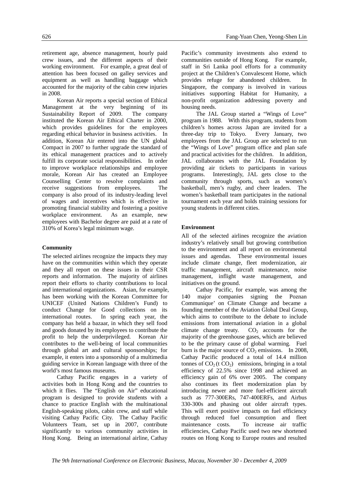retirement age, absence management, hourly paid crew issues, and the different aspects of their working environment. For example, a great deal of attention has been focused on galley services and equipment as well as handling baggage which accounted for the majority of the cabin crew injuries in 2008.

Korean Air reports a special section of Ethical Management at the very beginning of its Sustainability Report of 2009. The company instituted the Korean Air Ethical Charter in 2000, which provides guidelines for the employees regarding ethical behavior in business activities. In addition, Korean Air entered into the UN global Compact in 2007 to further upgrade the standard of its ethical management practices and to actively fulfill its corporate social responsibilities. In order to improve workplace relationships and employee morale, Korean Air has created an Employee Counselling Center to resolve complaints and receive suggestions from employees. The company is also proud of its industry-leading level of wages and incentives which is effective in promoting financial stability and fostering a positive workplace environment. As an example, new employees with Bachelor degree are paid at a rate of 310% of Korea's legal minimum wage.

### **Community**

The selected airlines recognize the impacts they may have on the communities within which they operate and they all report on these issues in their CSR reports and information. The majority of airlines report their efforts to charity contributions to local and international organizations. Asian, for example, has been working with the Korean Committee for UNICEF (United Nations Children's Fund) to conduct Change for Good collections on its international routes. In spring each year, the company has held a bazaar, in which they sell food and goods donated by its employees to contribute the profit to help the underprivileged. Korean Air contributes to the well-being of local communities through global art and cultural sponsorships; for example, it enters into a sponsorship of a multimedia guiding service in Korean language with three of the world's most famous museums.

Cathay Pacific engages in a variety of activities both in Hong Kong and the countries to which it flies. The "English on Air" educational program is designed to provide students with a chance to practice English with the multinational English-speaking pilots, cabin crew, and staff while visiting Cathay Pacific City. The Cathay Pacific Volunteers Team, set up in 2007, contribute significantly to various community activities in Hong Kong. Being an international airline, Cathay

Pacific's community investments also extend to communities outside of Hong Kong. For example, staff in Sri Lanka pool efforts for a community project at the Children's Convalescent Home, which provides refuge for abandoned children. In Singapore, the company is involved in various initiatives supporting Habitat for Humanity, a non-profit organization addressing poverty and housing needs.

 The JAL Group started a "Wings of Love" program in 1988. With this program, students from children's homes across Japan are invited for a three-day trip to Tokyo. Every January, two employees from the JAL Group are selected to run the "Wings of Love" program office and plan safe and practical activities for the children. In addition, JAL collaborates with the JAL Foundation by providing air tickets to participants in various programs. Interestingly, JAL gets close to the community through sports, such as women's basketball, men's rugby, and cheer leaders. The women's basketball team participates in the national tournament each year and holds training sessions for young students in different cities.

## **Environment**

All of the selected airlines recognize the aviation industry's relatively small but growing contribution to the environment and all report on environmental issues and agendas. These environmental issues include climate change, fleet modernization, air traffic management, aircraft maintenance, noise management, inflight waste management, and initiatives on the ground.

Cathay Pacific, for example, was among the 140 major companies signing the Poznan Communique' on Climate Change and became a founding member of the Aviation Global Deal Group, which aims to contribute to the debate to include emissions from international aviation in a global climate change treaty.  $CO<sub>2</sub>$  accounts for the majority of the greenhouse gases, which are believed to be the primary cause of global warming. Fuel burn is the major source of  $CO<sub>2</sub>$  emissions. In 2008, Cathay Pacific produced a total of 14.4 million tonnes of  $CO<sub>2</sub>(t CO<sub>2</sub>)$  emissions, bringing in a total efficiency of 22.5% since 1998 and achieved an efficiency gain of 6% over 2005. The company also continues its fleet modernization plan by introducing newer and more fuel-efficient aircraft such as 777-300ERs, 747-400ERFs, and Airbus 330-300s and phasing out older aircraft types. This will exert positive impacts on fuel efficiency through reduced fuel consumption and fleet maintenance costs. To increase air traffic efficiencies, Cathay Pacific used two new shortened routes on Hong Kong to Europe routes and resulted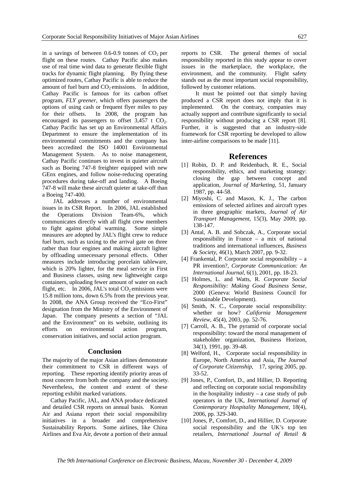in a savings of between  $0.6-0.9$  tonnes of  $CO<sub>2</sub>$  per flight on these routes. Cathay Pacific also makes use of real time wind data to generate flexible flight tracks for dynamic flight planning. By flying these optimized routes, Cathay Pacific is able to reduce the amount of fuel burn and  $CO<sub>2</sub>$  emissions. In addition, Cathay Pacific is famous for its carbon offset program, *FLY greener*, which offers passengers the options of using cash or frequent flyer miles to pay for their offsets. In 2008, the program has encouraged its passengers to offset  $3,457$  t CO<sub>2</sub>. Cathay Pacific has set up an Environmental Affairs Department to ensure the implementation of its environmental commitments and the company has been accredited the ISO 14001 Environmental Management System. As to noise management, Cathay Pacific continues to invest in quieter aircraft such as Boeing 747-8 freighter equipped with new GEnx engines, and follow noise-reducing operating procedures during take-off and landing. A Boeing 747-8 will make these aircraft quieter at take-off than a Boeing 747-400.

JAL addresses a number of environmental issues in its CSR Report. In 2006, JAL established the Operations Division Team-6%, which communicates directly with all flight crew members to fight against global warming. Some simple measures are adopted by JAL's flight crew to reduce fuel burn, such as taxing to the arrival gate on three rather than four engines and making aircraft lighter by offloading unnecessary personal effects. Other measures include introducing porcelain tableware, which is 20% lighter, for the meal service in First and Business classes, using new lightweight cargo containers, uploading fewer amount of water on each flight, etc. In 2006, JAL's total  $CO<sub>2</sub>$  emissions were 15.8 million tons, down 6.5% from the previous year. In 2008, the ANA Group received the "Eco-First" designation from the Ministry of the Environment of Japan. The company presents a section of "JAL and the Environment" on its website, outlining its efforts on environmental action program, conservation initiatives, and social action program.

#### **Conclusion**

The majority of the major Asian airlines demonstrate their commitment to CSR in different ways of reporting. These reporting identify priority areas of most concern from both the company and the society. Nevertheless, the content and extent of these reporting exhibit marked variations.

Cathay Pacific, JAL, and ANA produce dedicated and detailed CSR reports on annual basis. Korean Air and Asiana report their social responsibility initiatives in a broader and comprehensive Sustainability Reports. Some airlines, like China Airlines and Eva Air, devote a portion of their annual

reports to CSR. The general themes of social responsibility reported in this study appear to cover issues in the marketplace, the workplace, the environment, and the community. Flight safety stands out as the most important social responsibility, followed by customer relations.

It must be pointed out that simply having produced a CSR report does not imply that it is implemented. On the contrary, companies may actually support and contribute significantly to social responsibility without producing a CSR report [8]. Further, it is suggested that an industry-side framework for CSR reporting be developed to allow inter-airline comparisons to be made [11].

#### **References**

- [1] Robin, D. P. and Reidenbach, R. E., Social responsibility, ethics, and marketing strategy: closing the gap between concept and application, *Journal of Marketing*, 51, January 1987, pp. 44-58.
- [2] Miyoshi, C. and Mason, K. J., The carbon emissions of selected airlines and aircraft types in three geographic markets, *Journal of Air Transport Management*, 15(3), May 2009, pp. 138-147.
- [3] Antal, A. B. and Sobczak, A., Corporate social responsibility in France – a mix of national traditions and international influences, *Business & Society*, 46(1), March 2007, pp. 9-32.
- [4] Frankental, P. Corporate social responsibility a PR invention?, *Corporate Communication: An International Journal*, 6(1), 2001, pp. 18-23.
- [5] Holmes, L. and Watts, R. *Corporate Social Responsibility: Making Good Business Sense*, 2000 (Geneva: World Business Council for Sustainable Development).
- [6] Smith, N. C., Corporate social responsibility: whether or how? *California Management Review*, 45(4), 2003, pp. 52-76.
- [7] Carroll, A. B., The pyramid of corporate social responsibility: toward the moral management of stakeholder organization, Business Horizon, 34(1), 1991, pp. 39-48.
- [8] Welford, H., Corporate social responsibility in Europe, North America and Asia, *The Journal of Corporate Citizenship*, 17, spring 2005, pp. 33-52.
- [9] Jones, P., Comfort, D., and Hillier, D. Reporting and reflecting on corporate social responsibility in the hospitality industry – a case study of pub operators in the UK, *International Journal of Contemporary Hospitality Management*, 18(4), 2006, pp. 329-340.
- [10] Jones, P., Comfort, D., and Hillier, D. Corporate social responsibility and the UK's top ten retailers, *International Journal of Retail &*